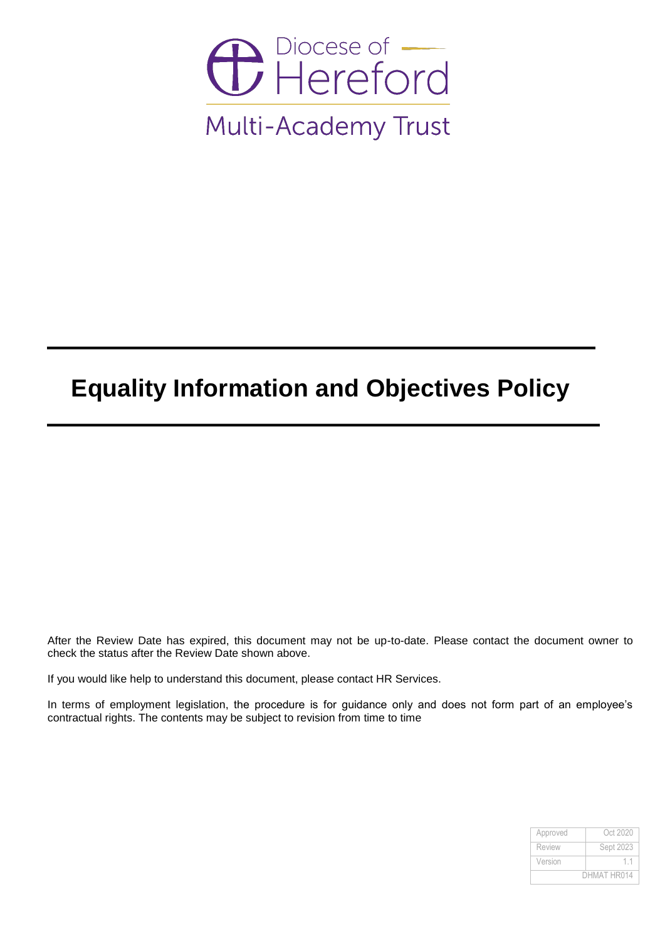

# **Equality Information and Objectives Policy**

After the Review Date has expired, this document may not be up-to-date. Please contact the document owner to check the status after the Review Date shown above.

If you would like help to understand this document, please contact HR Services.

In terms of employment legislation, the procedure is for guidance only and does not form part of an employee's contractual rights. The contents may be subject to revision from time to time

| Approved      | Oct 2020    |
|---------------|-------------|
| <b>Review</b> | Sept 2023   |
| Version       | 11          |
|               | DHMAT HR014 |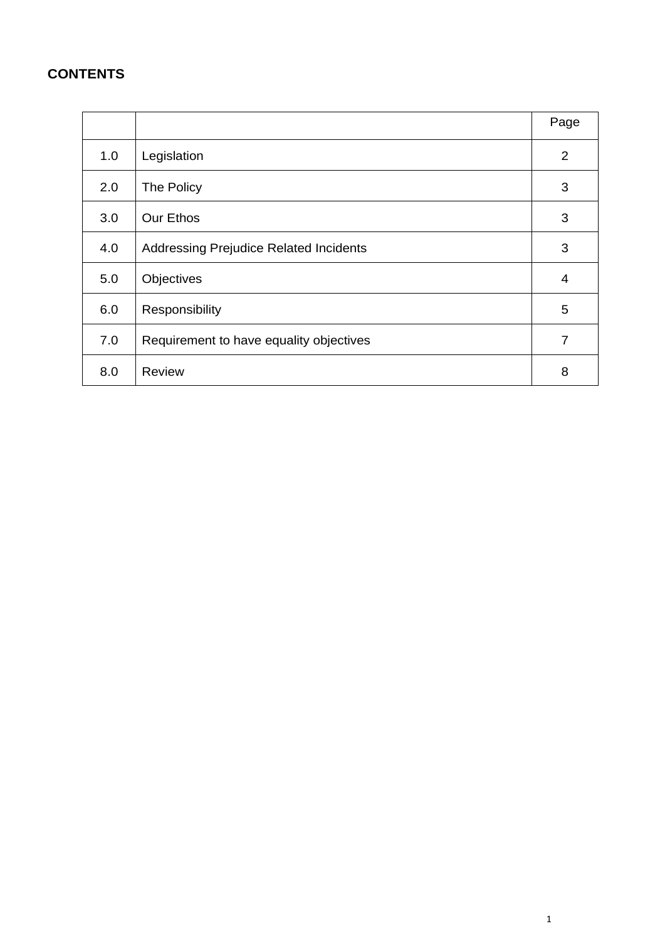# **CONTENTS**

|     |                                               | Page           |
|-----|-----------------------------------------------|----------------|
| 1.0 | Legislation                                   | 2              |
| 2.0 | The Policy                                    | 3              |
| 3.0 | Our Ethos                                     | 3              |
| 4.0 | <b>Addressing Prejudice Related Incidents</b> | 3              |
| 5.0 | Objectives                                    | 4              |
| 6.0 | Responsibility                                | 5              |
| 7.0 | Requirement to have equality objectives       | $\overline{7}$ |
| 8.0 | <b>Review</b>                                 | 8              |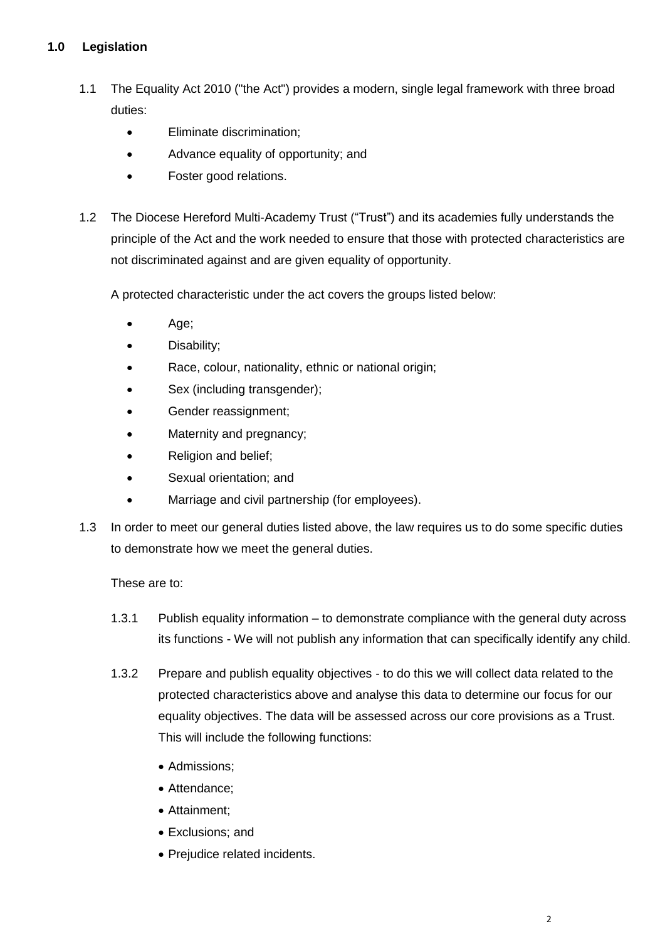# **1.0 Legislation**

- 1.1 The Equality Act 2010 ("the Act") provides a modern, single legal framework with three broad duties:
	- Eliminate discrimination;
	- Advance equality of opportunity; and
	- Foster good relations.
- 1.2 The Diocese Hereford Multi-Academy Trust ("Trust") and its academies fully understands the principle of the Act and the work needed to ensure that those with protected characteristics are not discriminated against and are given equality of opportunity.

A protected characteristic under the act covers the groups listed below:

- Age;
- Disability;
- Race, colour, nationality, ethnic or national origin;
- Sex (including transgender);
- Gender reassignment;
- Maternity and pregnancy;
- Religion and belief;
- Sexual orientation; and
- Marriage and civil partnership (for employees).
- 1.3 In order to meet our general duties listed above, the law requires us to do some specific duties to demonstrate how we meet the general duties.

These are to:

- 1.3.1 Publish equality information to demonstrate compliance with the general duty across its functions - We will not publish any information that can specifically identify any child.
- 1.3.2 Prepare and publish equality objectives to do this we will collect data related to the protected characteristics above and analyse this data to determine our focus for our equality objectives. The data will be assessed across our core provisions as a Trust. This will include the following functions:
	- Admissions;
	- Attendance;
	- Attainment;
	- Exclusions; and
	- Prejudice related incidents.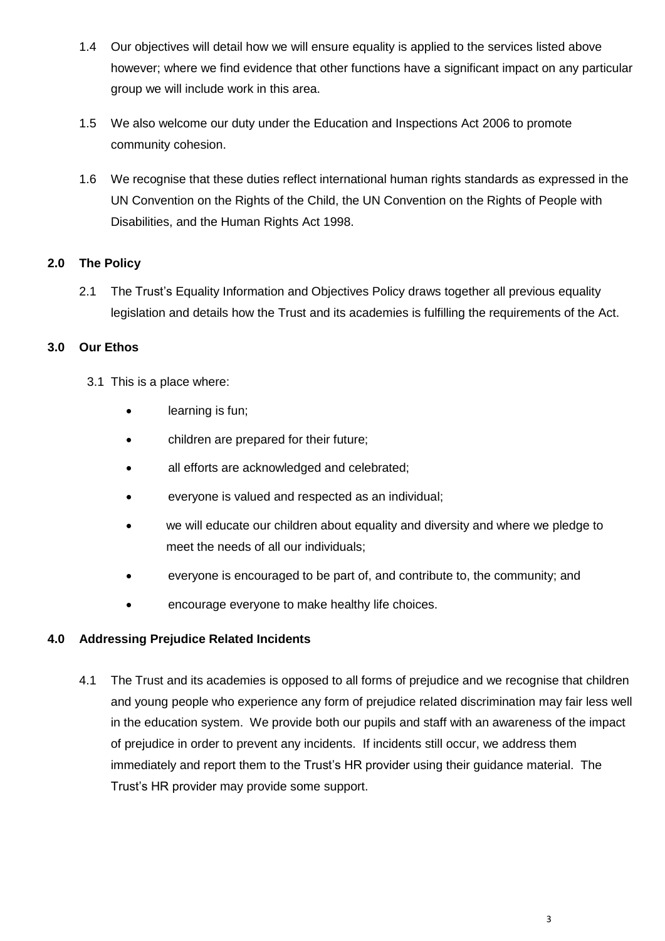- 1.4 Our objectives will detail how we will ensure equality is applied to the services listed above however; where we find evidence that other functions have a significant impact on any particular group we will include work in this area.
- 1.5 We also welcome our duty under the Education and Inspections Act 2006 to promote community cohesion.
- 1.6 We recognise that these duties reflect international human rights standards as expressed in the UN Convention on the Rights of the Child, the UN Convention on the Rights of People with Disabilities, and the Human Rights Act 1998.

# **2.0 The Policy**

2.1 The Trust's Equality Information and Objectives Policy draws together all previous equality legislation and details how the Trust and its academies is fulfilling the requirements of the Act.

# **3.0 Our Ethos**

- 3.1 This is a place where:
	- **•** learning is fun;
	- children are prepared for their future;
	- all efforts are acknowledged and celebrated;
	- everyone is valued and respected as an individual;
	- we will educate our children about equality and diversity and where we pledge to meet the needs of all our individuals;
	- everyone is encouraged to be part of, and contribute to, the community; and
	- encourage everyone to make healthy life choices.

#### **4.0 Addressing Prejudice Related Incidents**

4.1 The Trust and its academies is opposed to all forms of prejudice and we recognise that children and young people who experience any form of prejudice related discrimination may fair less well in the education system. We provide both our pupils and staff with an awareness of the impact of prejudice in order to prevent any incidents. If incidents still occur, we address them immediately and report them to the Trust's HR provider using their guidance material. The Trust's HR provider may provide some support.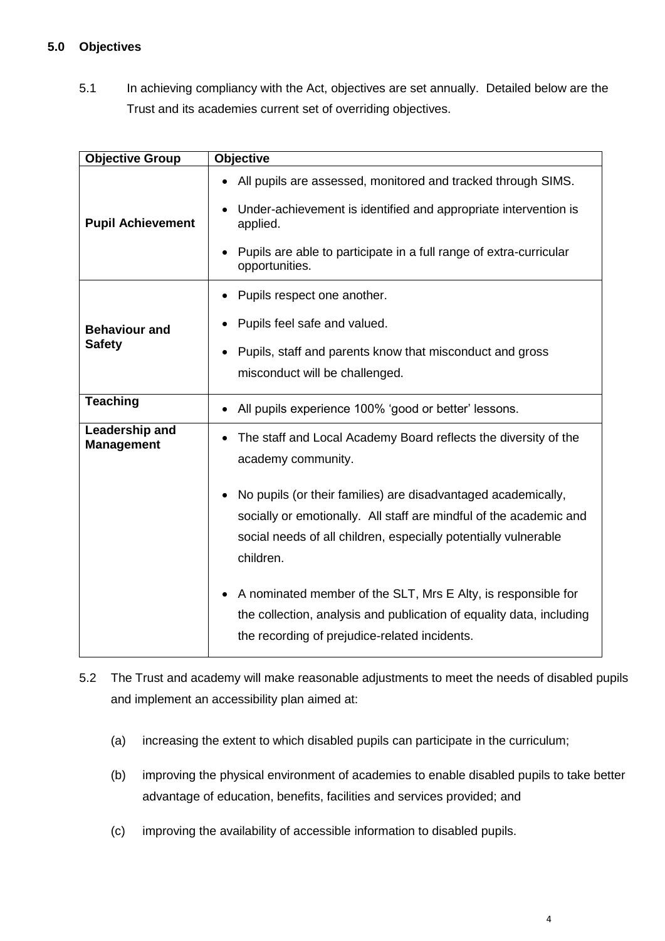#### **5.0 Objectives**

5.1 In achieving compliancy with the Act, objectives are set annually. Detailed below are the Trust and its academies current set of overriding objectives.

| <b>Objective Group</b>              | Objective                                                                                                                                                                                                           |
|-------------------------------------|---------------------------------------------------------------------------------------------------------------------------------------------------------------------------------------------------------------------|
| <b>Pupil Achievement</b>            | All pupils are assessed, monitored and tracked through SIMS.<br>Under-achievement is identified and appropriate intervention is<br>applied.                                                                         |
|                                     | Pupils are able to participate in a full range of extra-curricular<br>opportunities.                                                                                                                                |
|                                     | Pupils respect one another.                                                                                                                                                                                         |
| <b>Behaviour and</b>                | Pupils feel safe and valued.                                                                                                                                                                                        |
| <b>Safety</b>                       | Pupils, staff and parents know that misconduct and gross                                                                                                                                                            |
|                                     | misconduct will be challenged.                                                                                                                                                                                      |
| <b>Teaching</b>                     | All pupils experience 100% 'good or better' lessons.<br>$\bullet$                                                                                                                                                   |
| Leadership and<br><b>Management</b> | The staff and Local Academy Board reflects the diversity of the<br>$\bullet$<br>academy community.                                                                                                                  |
|                                     | No pupils (or their families) are disadvantaged academically,<br>socially or emotionally. All staff are mindful of the academic and<br>social needs of all children, especially potentially vulnerable<br>children. |
|                                     | A nominated member of the SLT, Mrs E Alty, is responsible for<br>the collection, analysis and publication of equality data, including<br>the recording of prejudice-related incidents.                              |

5.2 The Trust and academy will make reasonable adjustments to meet the needs of disabled pupils and implement an accessibility plan aimed at:

- (a) increasing the extent to which disabled pupils can participate in the curriculum;
- (b) improving the physical environment of academies to enable disabled pupils to take better advantage of education, benefits, facilities and services provided; and
- (c) improving the availability of accessible information to disabled pupils.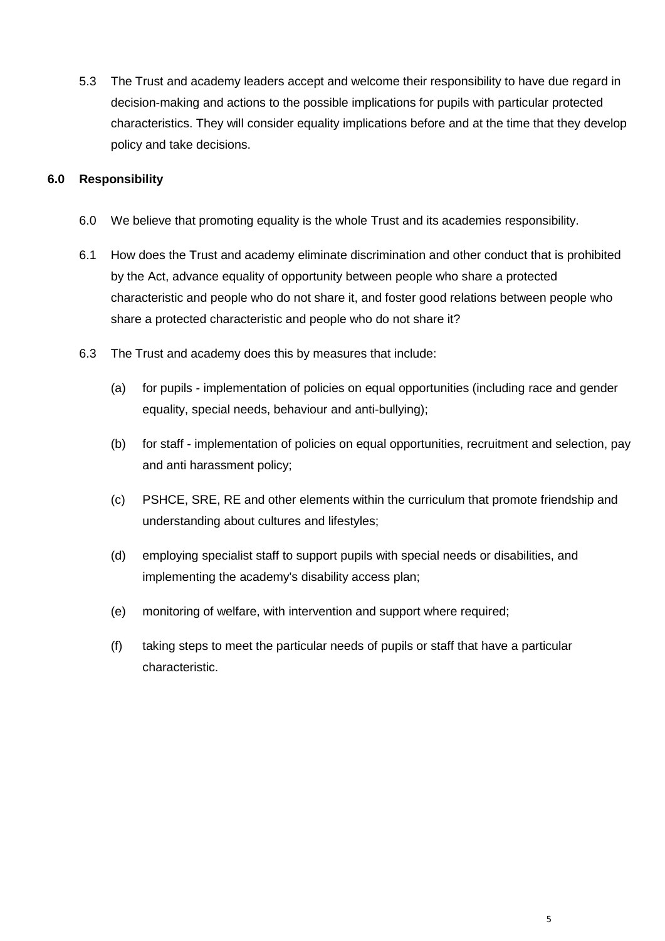5.3 The Trust and academy leaders accept and welcome their responsibility to have due regard in decision-making and actions to the possible implications for pupils with particular protected characteristics. They will consider equality implications before and at the time that they develop policy and take decisions.

#### **6.0 Responsibility**

- 6.0 We believe that promoting equality is the whole Trust and its academies responsibility.
- 6.1 How does the Trust and academy eliminate discrimination and other conduct that is prohibited by the Act, advance equality of opportunity between people who share a protected characteristic and people who do not share it, and foster good relations between people who share a protected characteristic and people who do not share it?
- 6.3 The Trust and academy does this by measures that include:
	- (a) for pupils implementation of policies on equal opportunities (including race and gender equality, special needs, behaviour and anti-bullying);
	- (b) for staff implementation of policies on equal opportunities, recruitment and selection, pay and anti harassment policy;
	- (c) PSHCE, SRE, RE and other elements within the curriculum that promote friendship and understanding about cultures and lifestyles;
	- (d) employing specialist staff to support pupils with special needs or disabilities, and implementing the academy's disability access plan;
	- (e) monitoring of welfare, with intervention and support where required;
	- (f) taking steps to meet the particular needs of pupils or staff that have a particular characteristic.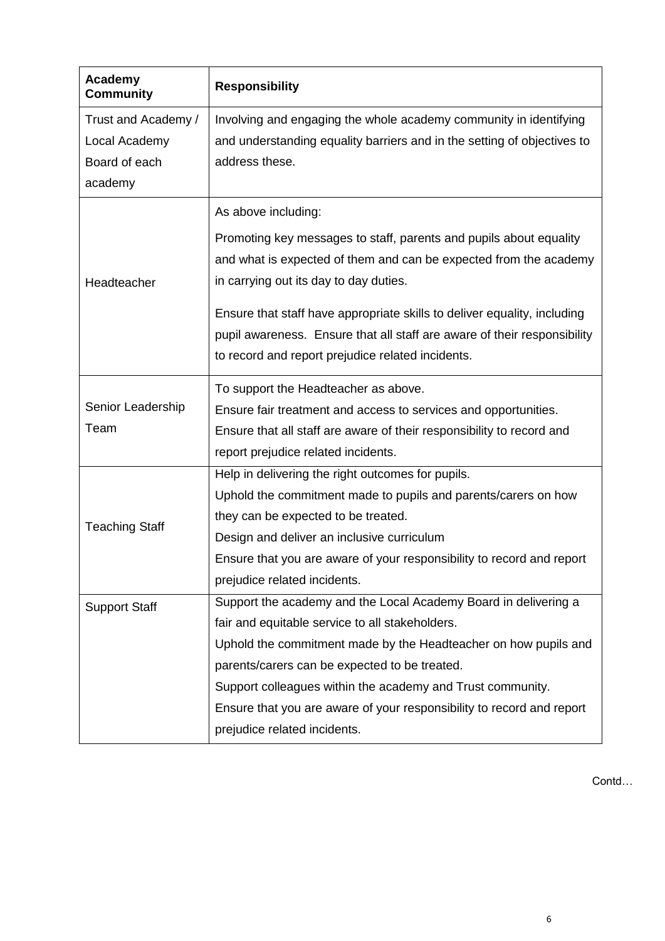| <b>Academy</b><br><b>Community</b> | <b>Responsibility</b>                                                    |
|------------------------------------|--------------------------------------------------------------------------|
| Trust and Academy /                | Involving and engaging the whole academy community in identifying        |
| Local Academy                      | and understanding equality barriers and in the setting of objectives to  |
| Board of each                      | address these.                                                           |
| academy                            |                                                                          |
|                                    | As above including:                                                      |
|                                    | Promoting key messages to staff, parents and pupils about equality       |
|                                    | and what is expected of them and can be expected from the academy        |
| Headteacher                        | in carrying out its day to day duties.                                   |
|                                    | Ensure that staff have appropriate skills to deliver equality, including |
|                                    | pupil awareness. Ensure that all staff are aware of their responsibility |
|                                    | to record and report prejudice related incidents.                        |
|                                    | To support the Headteacher as above.                                     |
| Senior Leadership                  | Ensure fair treatment and access to services and opportunities.          |
| Team                               | Ensure that all staff are aware of their responsibility to record and    |
|                                    | report prejudice related incidents.                                      |
|                                    | Help in delivering the right outcomes for pupils.                        |
|                                    | Uphold the commitment made to pupils and parents/carers on how           |
| <b>Teaching Staff</b>              | they can be expected to be treated.                                      |
|                                    | Design and deliver an inclusive curriculum                               |
|                                    | Ensure that you are aware of your responsibility to record and report    |
|                                    | prejudice related incidents.                                             |
| <b>Support Staff</b>               | Support the academy and the Local Academy Board in delivering a          |
|                                    | fair and equitable service to all stakeholders.                          |
|                                    | Uphold the commitment made by the Headteacher on how pupils and          |
|                                    | parents/carers can be expected to be treated.                            |
|                                    | Support colleagues within the academy and Trust community.               |
|                                    | Ensure that you are aware of your responsibility to record and report    |
|                                    | prejudice related incidents.                                             |

Contd…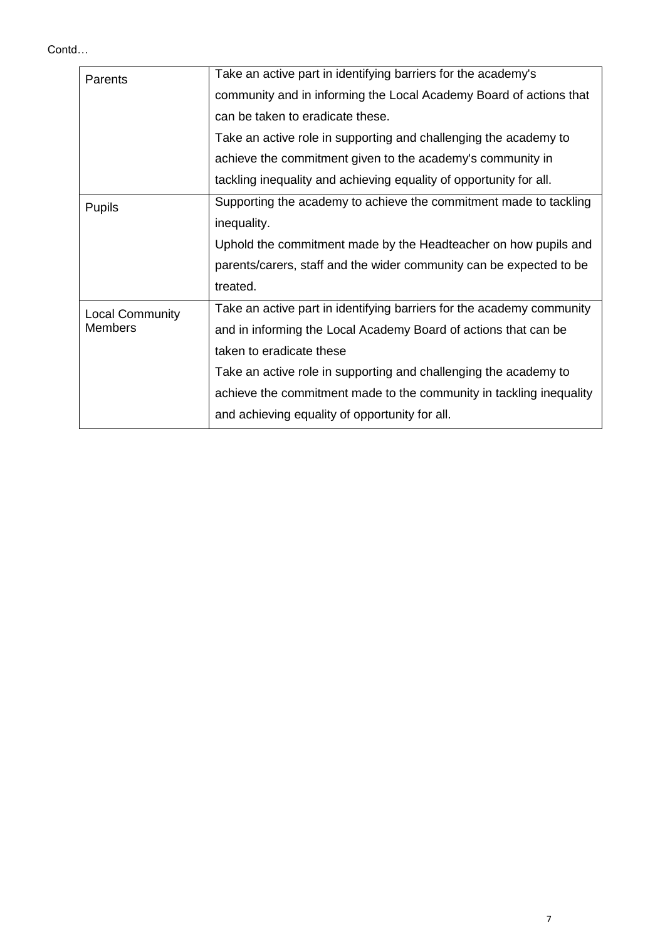Contd…

| Parents                | Take an active part in identifying barriers for the academy's         |
|------------------------|-----------------------------------------------------------------------|
|                        | community and in informing the Local Academy Board of actions that    |
|                        | can be taken to eradicate these.                                      |
|                        | Take an active role in supporting and challenging the academy to      |
|                        | achieve the commitment given to the academy's community in            |
|                        | tackling inequality and achieving equality of opportunity for all.    |
| <b>Pupils</b>          | Supporting the academy to achieve the commitment made to tackling     |
|                        | inequality.                                                           |
|                        | Uphold the commitment made by the Headteacher on how pupils and       |
|                        | parents/carers, staff and the wider community can be expected to be   |
|                        | treated.                                                              |
| <b>Local Community</b> | Take an active part in identifying barriers for the academy community |
| <b>Members</b>         | and in informing the Local Academy Board of actions that can be       |
|                        | taken to eradicate these                                              |
|                        | Take an active role in supporting and challenging the academy to      |
|                        | achieve the commitment made to the community in tackling inequality   |
|                        | and achieving equality of opportunity for all.                        |